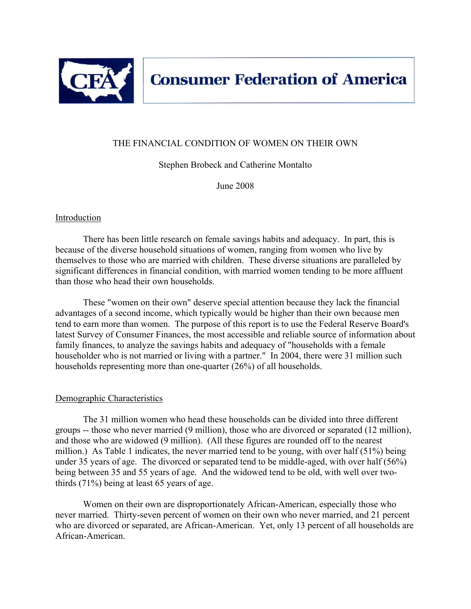

# THE FINANCIAL CONDITION OF WOMEN ON THEIR OWN

Stephen Brobeck and Catherine Montalto

June 2008

## Introduction

 There has been little research on female savings habits and adequacy. In part, this is because of the diverse household situations of women, ranging from women who live by themselves to those who are married with children. These diverse situations are paralleled by significant differences in financial condition, with married women tending to be more affluent than those who head their own households.

 These "women on their own" deserve special attention because they lack the financial advantages of a second income, which typically would be higher than their own because men tend to earn more than women. The purpose of this report is to use the Federal Reserve Board's latest Survey of Consumer Finances, the most accessible and reliable source of information about family finances, to analyze the savings habits and adequacy of "households with a female householder who is not married or living with a partner." In 2004, there were 31 million such households representing more than one-quarter (26%) of all households.

### Demographic Characteristics

 The 31 million women who head these households can be divided into three different groups -- those who never married (9 million), those who are divorced or separated (12 million), and those who are widowed (9 million). (All these figures are rounded off to the nearest million.) As Table 1 indicates, the never married tend to be young, with over half (51%) being under 35 years of age. The divorced or separated tend to be middle-aged, with over half (56%) being between 35 and 55 years of age. And the widowed tend to be old, with well over twothirds (71%) being at least 65 years of age.

 Women on their own are disproportionately African-American, especially those who never married. Thirty-seven percent of women on their own who never married, and 21 percent who are divorced or separated, are African-American. Yet, only 13 percent of all households are African-American.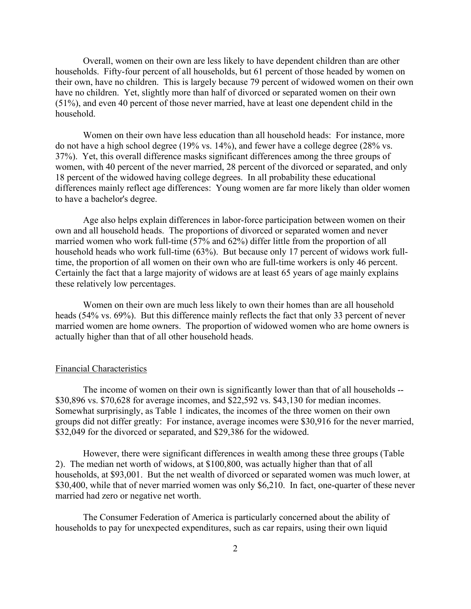Overall, women on their own are less likely to have dependent children than are other households. Fifty-four percent of all households, but 61 percent of those headed by women on their own, have no children. This is largely because 79 percent of widowed women on their own have no children. Yet, slightly more than half of divorced or separated women on their own (51%), and even 40 percent of those never married, have at least one dependent child in the household.

 Women on their own have less education than all household heads: For instance, more do not have a high school degree (19% vs. 14%), and fewer have a college degree (28% vs. 37%). Yet, this overall difference masks significant differences among the three groups of women, with 40 percent of the never married, 28 percent of the divorced or separated, and only 18 percent of the widowed having college degrees. In all probability these educational differences mainly reflect age differences: Young women are far more likely than older women to have a bachelor's degree.

 Age also helps explain differences in labor-force participation between women on their own and all household heads. The proportions of divorced or separated women and never married women who work full-time (57% and 62%) differ little from the proportion of all household heads who work full-time (63%). But because only 17 percent of widows work fulltime, the proportion of all women on their own who are full-time workers is only 46 percent. Certainly the fact that a large majority of widows are at least 65 years of age mainly explains these relatively low percentages.

 Women on their own are much less likely to own their homes than are all household heads (54% vs. 69%). But this difference mainly reflects the fact that only 33 percent of never married women are home owners. The proportion of widowed women who are home owners is actually higher than that of all other household heads.

#### Financial Characteristics

 The income of women on their own is significantly lower than that of all households -- \$30,896 vs. \$70,628 for average incomes, and \$22,592 vs. \$43,130 for median incomes. Somewhat surprisingly, as Table 1 indicates, the incomes of the three women on their own groups did not differ greatly: For instance, average incomes were \$30,916 for the never married, \$32,049 for the divorced or separated, and \$29,386 for the widowed.

 However, there were significant differences in wealth among these three groups (Table 2). The median net worth of widows, at \$100,800, was actually higher than that of all households, at \$93,001. But the net wealth of divorced or separated women was much lower, at \$30,400, while that of never married women was only \$6,210. In fact, one-quarter of these never married had zero or negative net worth.

 The Consumer Federation of America is particularly concerned about the ability of households to pay for unexpected expenditures, such as car repairs, using their own liquid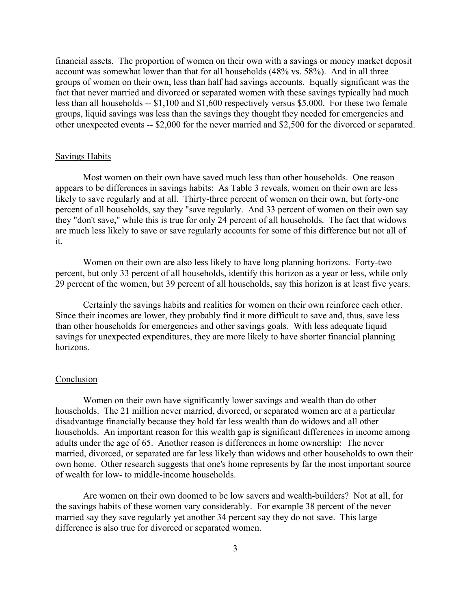financial assets. The proportion of women on their own with a savings or money market deposit account was somewhat lower than that for all households (48% vs. 58%). And in all three groups of women on their own, less than half had savings accounts. Equally significant was the fact that never married and divorced or separated women with these savings typically had much less than all households -- \$1,100 and \$1,600 respectively versus \$5,000. For these two female groups, liquid savings was less than the savings they thought they needed for emergencies and other unexpected events -- \$2,000 for the never married and \$2,500 for the divorced or separated.

#### Savings Habits

 Most women on their own have saved much less than other households. One reason appears to be differences in savings habits: As Table 3 reveals, women on their own are less likely to save regularly and at all. Thirty-three percent of women on their own, but forty-one percent of all households, say they "save regularly. And 33 percent of women on their own say they "don't save," while this is true for only 24 percent of all households. The fact that widows are much less likely to save or save regularly accounts for some of this difference but not all of it.

 Women on their own are also less likely to have long planning horizons. Forty-two percent, but only 33 percent of all households, identify this horizon as a year or less, while only 29 percent of the women, but 39 percent of all households, say this horizon is at least five years.

 Certainly the savings habits and realities for women on their own reinforce each other. Since their incomes are lower, they probably find it more difficult to save and, thus, save less than other households for emergencies and other savings goals. With less adequate liquid savings for unexpected expenditures, they are more likely to have shorter financial planning horizons.

#### **Conclusion**

 Women on their own have significantly lower savings and wealth than do other households. The 21 million never married, divorced, or separated women are at a particular disadvantage financially because they hold far less wealth than do widows and all other households. An important reason for this wealth gap is significant differences in income among adults under the age of 65. Another reason is differences in home ownership: The never married, divorced, or separated are far less likely than widows and other households to own their own home. Other research suggests that one's home represents by far the most important source of wealth for low- to middle-income households.

 Are women on their own doomed to be low savers and wealth-builders? Not at all, for the savings habits of these women vary considerably. For example 38 percent of the never married say they save regularly yet another 34 percent say they do not save. This large difference is also true for divorced or separated women.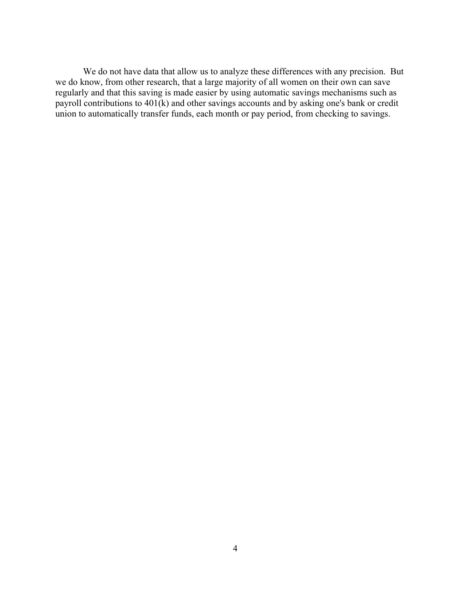We do not have data that allow us to analyze these differences with any precision. But we do know, from other research, that a large majority of all women on their own can save regularly and that this saving is made easier by using automatic savings mechanisms such as payroll contributions to  $401(k)$  and other savings accounts and by asking one's bank or credit union to automatically transfer funds, each month or pay period, from checking to savings.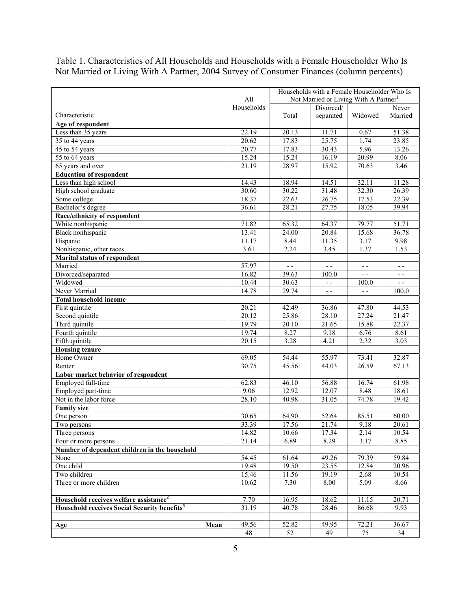|                                                          |            | Households with a Female Householder Who Is                    |                   |                 |                  |
|----------------------------------------------------------|------------|----------------------------------------------------------------|-------------------|-----------------|------------------|
|                                                          | All        | Not Married or Living With A Partner <sup>1</sup><br>Divorced/ |                   |                 |                  |
| Characteristic                                           | Households | Total                                                          |                   | Widowed         | Never<br>Married |
| Age of respondent                                        |            |                                                                | separated         |                 |                  |
| Less than 35 years                                       | 22.19      | 20.13                                                          | 11.71             | 0.67            | 51.38            |
| 35 to 44 years                                           | 20.62      | 17.83                                                          | 25.75             | 1.74            | 23.85            |
| 45 to 54 years                                           | 20.77      | 17.83                                                          | 30.43             | 5.96            | 13.26            |
| 55 to 64 years                                           | 15.24      | 15.24                                                          | 16.19             | 20.99           | 8.06             |
| 65 years and over                                        | 21.19      | 28.97                                                          | 15.92             | 70.63           | 3.46             |
| <b>Education of respondent</b>                           |            |                                                                |                   |                 |                  |
| Less than high school                                    | 14.43      | 18.94                                                          | 14.51             | 32.11           | 11.28            |
| High school graduate                                     | 30.60      | 30.22                                                          | 31.48             | 32.30           | 26.39            |
| Some college                                             | 18.37      | 22.63                                                          | 26.75             | 17.53           | 22.39            |
| Bachelor's degree                                        | 36.61      | 28.21                                                          | 27.75             | 18.05           | 39.94            |
| Race/ethnicity of respondent                             |            |                                                                |                   |                 |                  |
| White nonhispanic                                        | 71.82      | 65.32                                                          | 64.37             | 79.77           | 51.71            |
| Black nonhispanic                                        | 13.41      | 24.00                                                          | 20.84             | 15.68           | 36.78            |
| Hispanic                                                 | 11.17      | 8.44                                                           | 11.35             | 3.17            | 9.98             |
| Nonhispanic, other races                                 | 3.61       | 2.24                                                           | 3.45              | 1.37            | 1.53             |
| <b>Marital status of respondent</b>                      |            |                                                                |                   |                 |                  |
| Married                                                  | 57.97      | $ -$                                                           | $ -$              | $ -$            | $ -$             |
| Divorced/separated                                       | 16.82      | 39.63                                                          | 100.0             |                 | - -              |
| Widowed                                                  | 10.44      | 30.63                                                          | $\omega$ $\omega$ | 100.0           | $-$              |
| Never Married                                            | 14.78      | 29.74                                                          | $\sim$ $\sim$     | $\sim$ $\sim$   | 100.0            |
| <b>Total household income</b>                            |            |                                                                |                   |                 |                  |
| First quintile                                           | 20.21      | 42.49                                                          | 36.86             | 47.80           | 44.53            |
| Second quintile                                          | 20.12      | 25.86                                                          | 28.10             | 27.24           | 21.47            |
| Third quintile                                           | 19.79      | 20.10                                                          | 21.65             | 15.88           | 22.37            |
| Fourth quintile                                          | 19.74      | 8.27                                                           | 9.18              | 6.76            | 8.61             |
| Fifth quintile                                           | 20.15      | 3.28                                                           | 4.21              | 2.32            | 3.03             |
| <b>Housing tenure</b><br>Home Owner                      | 69.05      | 54.44                                                          | 55.97             | 73.41           | 32.87            |
| Renter                                                   | 30.75      | 45.56                                                          | 44.03             | 26.59           | 67.13            |
| Labor market behavior of respondent                      |            |                                                                |                   |                 |                  |
| Employed full-time                                       | 62.83      | 46.10                                                          | 56.88             | 16.74           | 61.98            |
| Employed part-time                                       | 9.06       | 12.92                                                          | 12.07             | 8.48            | 18.61            |
| Not in the labor force                                   | 28.10      | 40.98                                                          | 31.05             | 74.78           | 19.42            |
| <b>Family size</b>                                       |            |                                                                |                   |                 |                  |
| One person                                               | 30.65      | 64.90                                                          | 52.64             | 85.51           | 60.00            |
| Two persons                                              | 33.39      | 17.56                                                          | 21.74             | 9.18            | 20.61            |
| Three persons                                            | 14.82      | 10.66                                                          | 17.34             | 2.14            | 10.54            |
| Four or more persons                                     | 21.14      | 6.89                                                           | 8.29              | 3.17            | 8.85             |
| Number of dependent children in the household            |            |                                                                |                   |                 |                  |
| None                                                     | 54.45      | 61.64                                                          | 49.26             | 79.39           | 59.84            |
| One child                                                | 19.48      | 19.50                                                          | 23.55             | 12.84           | 20.96            |
| Two children                                             | 15.46      | 11.56                                                          | 19.19             | 2.68            | 10.54            |
| Three or more children                                   | 10.62      | 7.30                                                           | 8.00              | 5.09            | 8.66             |
|                                                          |            |                                                                |                   |                 |                  |
| Household receives welfare assistance <sup>2</sup>       | 7.70       | 16.95                                                          | 18.62             | 11.15           | 20.71            |
| Household receives Social Security benefits <sup>3</sup> | 31.19      | 40.78                                                          | 28.46             | 86.68           | 9.93             |
|                                                          |            |                                                                |                   |                 |                  |
| Mean<br>Age                                              | 49.56      | 52.82                                                          | 49.95             | 72.21           | 36.67            |
|                                                          | 48         | $\overline{52}$                                                | 49                | $\overline{75}$ | 34               |

Table 1. Characteristics of All Households and Households with a Female Householder Who Is Not Married or Living With A Partner, 2004 Survey of Consumer Finances (column percents)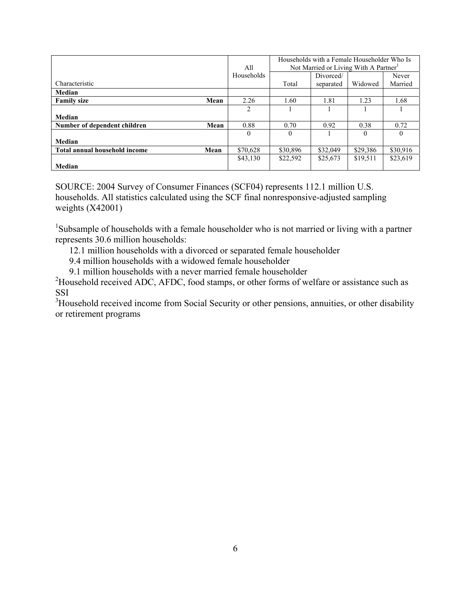|                                       |            | Households with a Female Householder Who Is<br>Not Married or Living With A Partner <sup>1</sup> |           |          |          |
|---------------------------------------|------------|--------------------------------------------------------------------------------------------------|-----------|----------|----------|
|                                       | All        |                                                                                                  |           |          |          |
|                                       | Households |                                                                                                  | Divorced/ |          | Never    |
| Characteristic                        |            | Total                                                                                            | separated | Widowed  | Married  |
| Median                                |            |                                                                                                  |           |          |          |
| <b>Family size</b><br>Mean            | 2.26       | 1.60                                                                                             | 1.81      | 1.23     | 1.68     |
|                                       | 2          |                                                                                                  |           |          |          |
| Median                                |            |                                                                                                  |           |          |          |
| Number of dependent children<br>Mean  | 0.88       | 0.70                                                                                             | 0.92      | 0.38     | 0.72     |
|                                       | $\theta$   | $\theta$                                                                                         |           | $\theta$ | 0        |
| Median                                |            |                                                                                                  |           |          |          |
| Total annual household income<br>Mean | \$70,628   | \$30,896                                                                                         | \$32,049  | \$29,386 | \$30,916 |
|                                       | \$43,130   | \$22,592                                                                                         | \$25,673  | \$19,511 | \$23,619 |
| Median                                |            |                                                                                                  |           |          |          |

SOURCE: 2004 Survey of Consumer Finances (SCF04) represents 112.1 million U.S. households. All statistics calculated using the SCF final nonresponsive-adjusted sampling weights (X42001)

<sup>1</sup>Subsample of households with a female householder who is not married or living with a partner represents 30.6 million households:

- 12.1 million households with a divorced or separated female householder
- 9.4 million households with a widowed female householder
- 9.1 million households with a never married female householder

 $^{2}$ Household received ADC, AFDC, food stamps, or other forms of welfare or assistance such as SSI

 $3$ Household received income from Social Security or other pensions, annuities, or other disability or retirement programs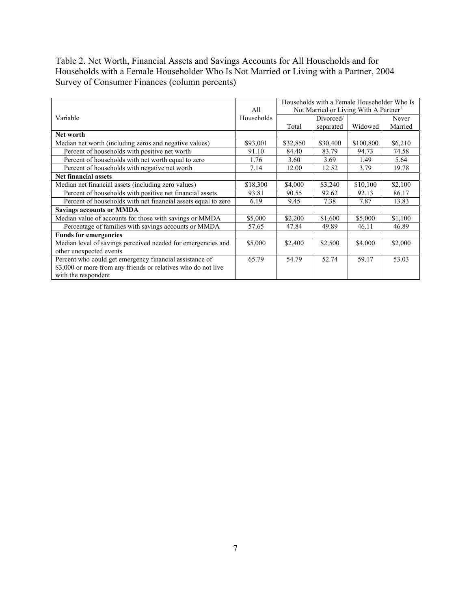## Table 2. Net Worth, Financial Assets and Savings Accounts for All Households and for Households with a Female Householder Who Is Not Married or Living with a Partner, 2004 Survey of Consumer Finances (column percents)

|                                                               | All        | Households with a Female Householder Who Is<br>Not Married or Living With A Partner <sup>1</sup> |           |           |         |
|---------------------------------------------------------------|------------|--------------------------------------------------------------------------------------------------|-----------|-----------|---------|
| Variable                                                      | Households |                                                                                                  | Divorced/ |           | Never   |
|                                                               |            | Total                                                                                            | separated | Widowed   | Married |
| Net worth                                                     |            |                                                                                                  |           |           |         |
| Median net worth (including zeros and negative values)        | \$93,001   | \$32,850                                                                                         | \$30,400  | \$100,800 | \$6,210 |
| Percent of households with positive net worth                 | 91.10      | 84.40                                                                                            | 83.79     | 94.73     | 74.58   |
| Percent of households with net worth equal to zero            | 1.76       | 3.60                                                                                             | 3.69      | 1.49      | 5.64    |
| Percent of households with negative net worth                 | 7.14       | 12.00                                                                                            | 12.52     | 3.79      | 19.78   |
| <b>Net financial assets</b>                                   |            |                                                                                                  |           |           |         |
| Median net financial assets (including zero values)           | \$18,300   | \$4,000                                                                                          | \$3,240   | \$10,100  | \$2,100 |
| Percent of households with positive net financial assets      | 93.81      | 90.55                                                                                            | 92.62     | 92.13     | 86.17   |
| Percent of households with net financial assets equal to zero | 6.19       | 9.45                                                                                             | 7.38      | 7.87      | 13.83   |
| <b>Savings accounts or MMDA</b>                               |            |                                                                                                  |           |           |         |
| Median value of accounts for those with savings or MMDA       | \$5,000    | \$2,200                                                                                          | \$1,600   | \$5,000   | \$1,100 |
| Percentage of families with savings accounts or MMDA          | 57.65      | 47.84                                                                                            | 49.89     | 46.11     | 46.89   |
| <b>Funds for emergencies</b>                                  |            |                                                                                                  |           |           |         |
| Median level of savings perceived needed for emergencies and  | \$5,000    | \$2,400                                                                                          | \$2,500   | \$4,000   | \$2,000 |
| other unexpected events                                       |            |                                                                                                  |           |           |         |
| Percent who could get emergency financial assistance of       | 65.79      | 54.79                                                                                            | 52.74     | 59.17     | 53.03   |
| \$3,000 or more from any friends or relatives who do not live |            |                                                                                                  |           |           |         |
| with the respondent                                           |            |                                                                                                  |           |           |         |